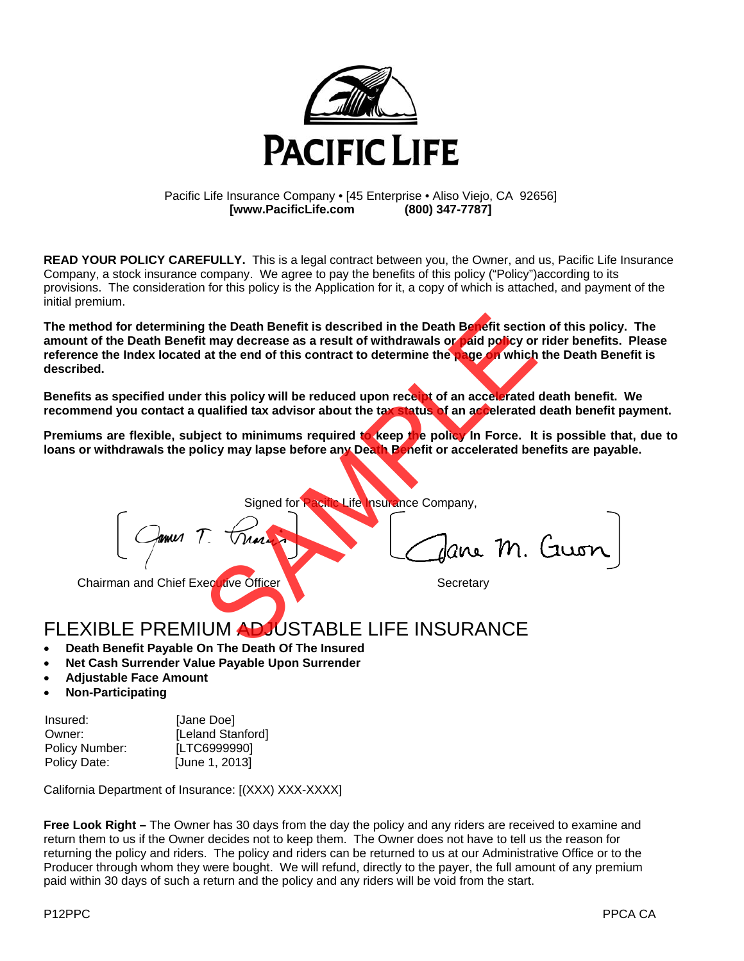

Pacific Life Insurance Company • [45 Enterprise • Aliso Viejo, CA 92656] **[www.PacificLife.com (800) 347-7787]** 

**READ YOUR POLICY CAREFULLY.** This is a legal contract between you, the Owner, and us, Pacific Life Insurance Company, a stock insurance company. We agree to pay the benefits of this policy ("Policy")according to its provisions. The consideration for this policy is the Application for it, a copy of which is attached, and payment of the initial premium.

**The method for determining the Death Benefit is described in the Death Benefit section of this policy. The amount of the Death Benefit may decrease as a result of withdrawals or paid policy or rider benefits. Please reference the Index located at the end of this contract to determine the page on which the Death Benefit is described.** 

**Benefits as specified under this policy will be reduced upon receipt of an accelerated death benefit. We recommend you contact a qualified tax advisor about the tax status of an accelerated death benefit payment.** 

**Premiums are flexible, subject to minimums required to keep the policy In Force. It is possible that, due to loans or withdrawals the policy may lapse before any Death Benefit or accelerated benefits are payable.** 



## FLEXIBLE PREMIUM ADJUSTABLE LIFE INSURANCE

- **Death Benefit Payable On The Death Of The Insured**
- **Net Cash Surrender Value Payable Upon Surrender**
- **Adjustable Face Amount**
- **Non-Participating**

| Insured:       | [Jane Doe]        |
|----------------|-------------------|
| Owner:         | [Leland Stanford] |
| Policy Number: | [LTC6999990]      |
| Policy Date:   | [June 1, 2013]    |

California Department of Insurance: [(XXX) XXX-XXXX]

**Free Look Right –** The Owner has 30 days from the day the policy and any riders are received to examine and return them to us if the Owner decides not to keep them. The Owner does not have to tell us the reason for returning the policy and riders. The policy and riders can be returned to us at our Administrative Office or to the Producer through whom they were bought. We will refund, directly to the payer, the full amount of any premium paid within 30 days of such a return and the policy and any riders will be void from the start.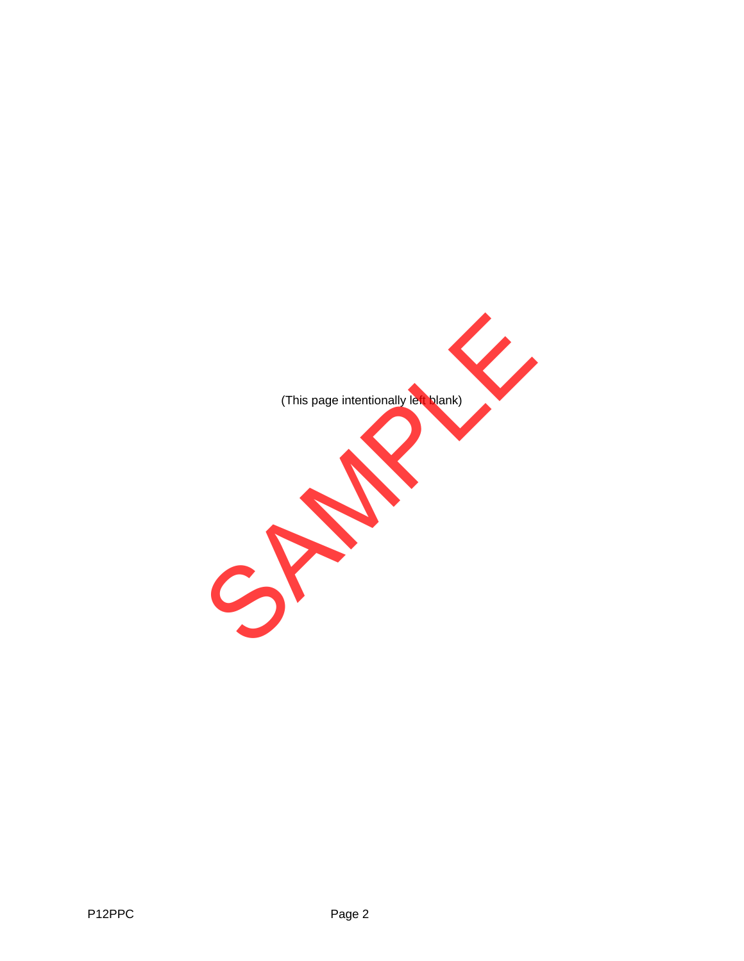(This page intentionally left blank) SP.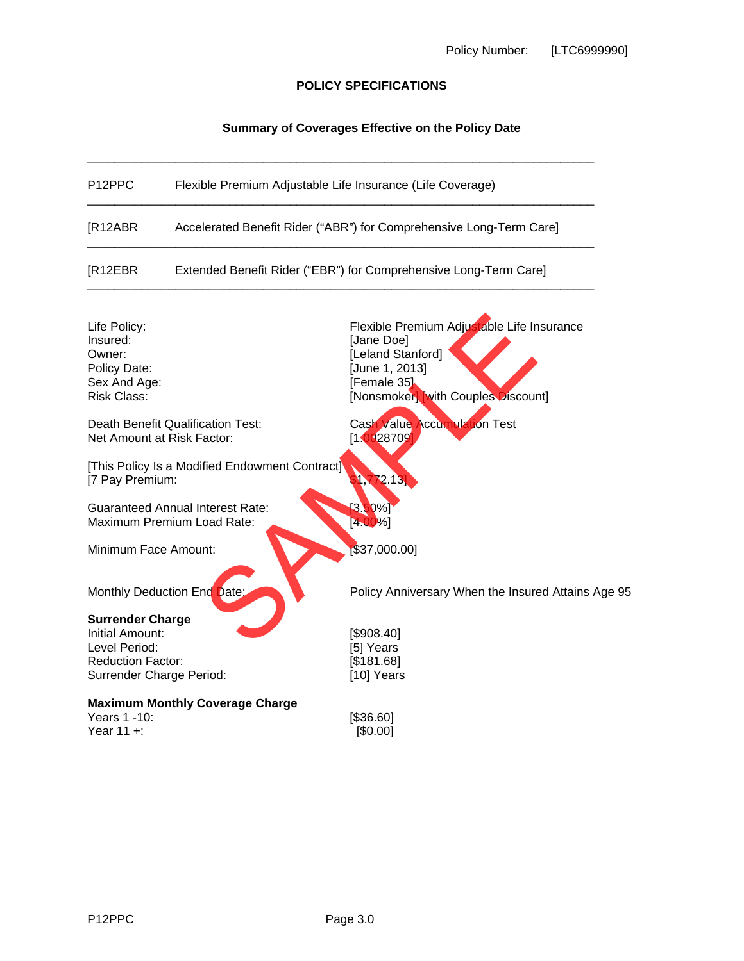### **POLICY SPECIFICATIONS**

### **Summary of Coverages Effective on the Policy Date**

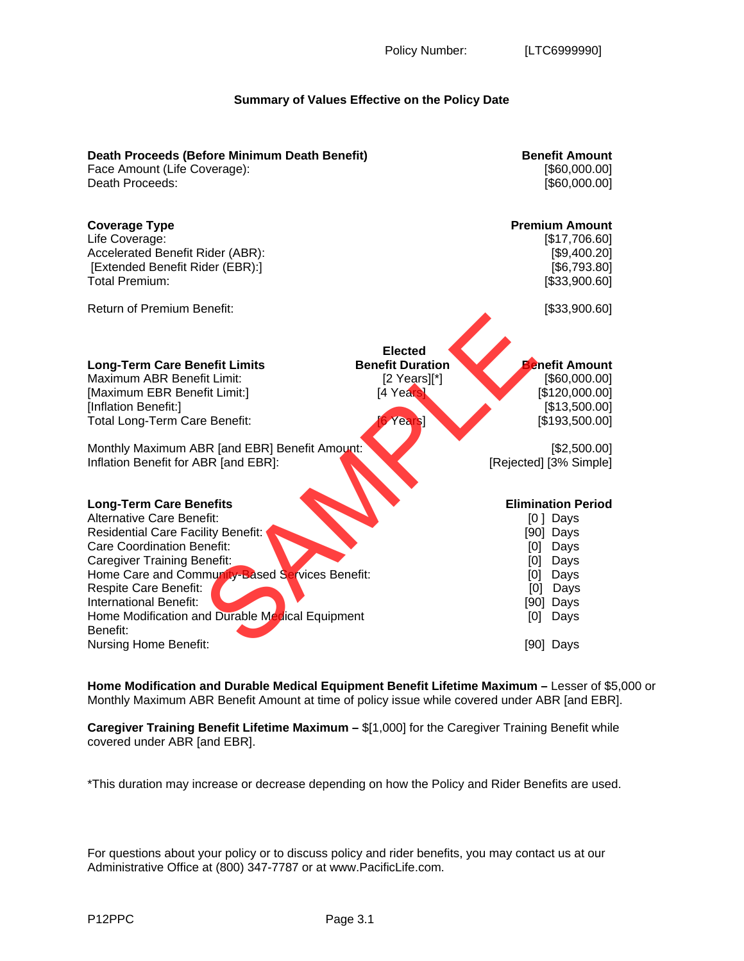### **Summary of Values Effective on the Policy Date**

| Death Proceeds (Before Minimum Death Benefit)<br>Face Amount (Life Coverage):<br>Death Proceeds:                                       | <b>Benefit Amount</b><br>[\$60,000.00]<br>[\$60,000.00]                                 |
|----------------------------------------------------------------------------------------------------------------------------------------|-----------------------------------------------------------------------------------------|
| <b>Coverage Type</b><br>Life Coverage:<br>Accelerated Benefit Rider (ABR):<br>[Extended Benefit Rider (EBR):]<br><b>Total Premium:</b> | <b>Premium Amount</b><br>[\$17,706.60]<br>[\$9,400.20]<br>[\$6,793.80]<br>[\$33,900.60] |
| <b>Return of Premium Benefit:</b>                                                                                                      | [\$33,900.60]                                                                           |
|                                                                                                                                        | <b>Elected</b>                                                                          |
|                                                                                                                                        |                                                                                         |
| <b>Long-Term Care Benefit Limits</b>                                                                                                   | <b>Benefit Duration</b><br><b>Benefit Amount</b>                                        |
| Maximum ABR Benefit Limit:                                                                                                             | [\$60,000.00]<br>[2 Years][*]                                                           |
| [Maximum EBR Benefit Limit:]                                                                                                           | [\$120,000.00]<br>[4 Years]                                                             |
| [Inflation Benefit:]                                                                                                                   | [\$13,500.00]                                                                           |
| <b>Total Long-Term Care Benefit:</b>                                                                                                   | <b>Years</b><br>[\$193,500.00]                                                          |
|                                                                                                                                        |                                                                                         |
| Monthly Maximum ABR [and EBR] Benefit Amount:                                                                                          | [\$2,500.00]                                                                            |
| Inflation Benefit for ABR [and EBR]:                                                                                                   | [Rejected] [3% Simple]                                                                  |
|                                                                                                                                        |                                                                                         |
| <b>Long-Term Care Benefits</b>                                                                                                         | <b>Elimination Period</b>                                                               |
| <b>Alternative Care Benefit:</b>                                                                                                       | $[0]$ Days                                                                              |
| <b>Residential Care Facility Benefit:</b>                                                                                              | $[90]$ Days                                                                             |
| <b>Care Coordination Benefit:</b>                                                                                                      | [0]<br>Days                                                                             |
| <b>Caregiver Training Benefit:</b>                                                                                                     | [0]<br>Days                                                                             |
| Home Care and Community-Based Services Benefit:                                                                                        | [0]                                                                                     |
| <b>Respite Care Benefit:</b>                                                                                                           | Days<br>[0]<br>Days                                                                     |
| International Benefit:                                                                                                                 | $[90]$ Days                                                                             |
| Home Modification and Durable Medical Equipment                                                                                        |                                                                                         |
| Benefit:                                                                                                                               | Days<br>[0]                                                                             |
| <b>Nursing Home Benefit:</b>                                                                                                           | $[90]$ Days                                                                             |

**Home Modification and Durable Medical Equipment Benefit Lifetime Maximum –** Lesser of \$5,000 or Monthly Maximum ABR Benefit Amount at time of policy issue while covered under ABR [and EBR].

**Caregiver Training Benefit Lifetime Maximum –** \$[1,000] for the Caregiver Training Benefit while covered under ABR [and EBR].

\*This duration may increase or decrease depending on how the Policy and Rider Benefits are used.

For questions about your policy or to discuss policy and rider benefits, you may contact us at our Administrative Office at (800) 347-7787 or at www.PacificLife.com.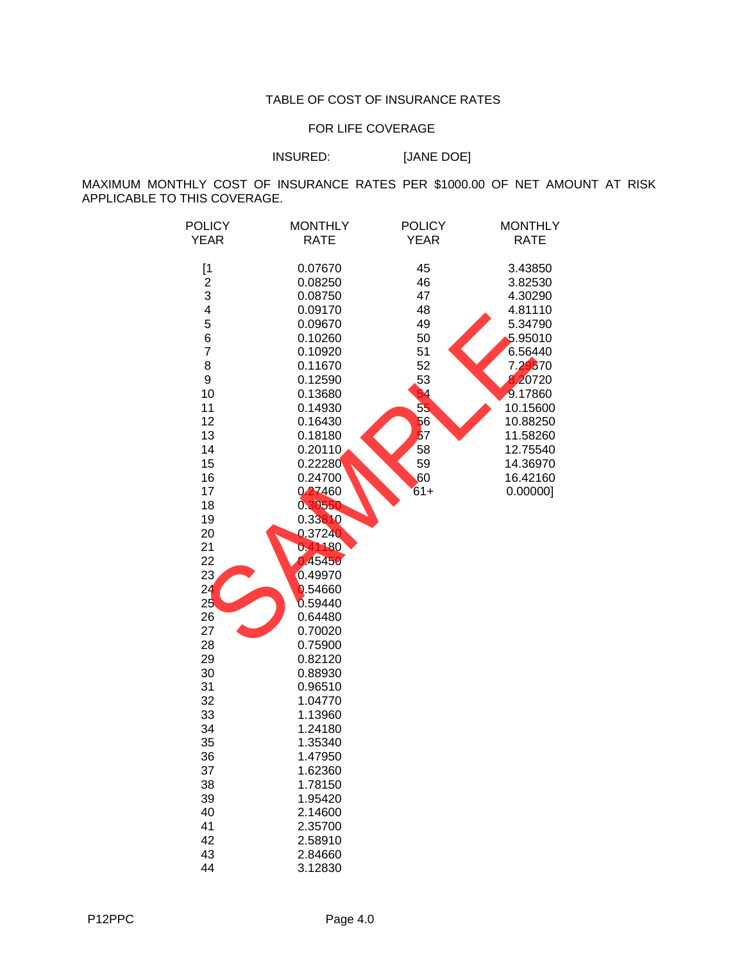### TABLE OF COST OF INSURANCE RATES

### FOR LIFE COVERAGE

### INSURED: [JANE DOE]

MAXIMUM MONTHLY COST OF INSURANCE RATES PER \$1000.00 OF NET AMOUNT AT RISK APPLICABLE TO THIS COVERAGE.

| 3.43850<br>3.82530<br>4.30290                                                                                                                                 |
|---------------------------------------------------------------------------------------------------------------------------------------------------------------|
| 4.81110<br>5.34790<br>5.95010<br>6.56440<br>7.29570<br>8,20720<br>9.17860<br>10.15600<br>10.88250<br>11.58260<br>12.75540<br>14.36970<br>16.42160<br>0.00000] |
|                                                                                                                                                               |
|                                                                                                                                                               |
|                                                                                                                                                               |
|                                                                                                                                                               |
|                                                                                                                                                               |
|                                                                                                                                                               |
|                                                                                                                                                               |
|                                                                                                                                                               |
|                                                                                                                                                               |
|                                                                                                                                                               |
|                                                                                                                                                               |
|                                                                                                                                                               |
|                                                                                                                                                               |
|                                                                                                                                                               |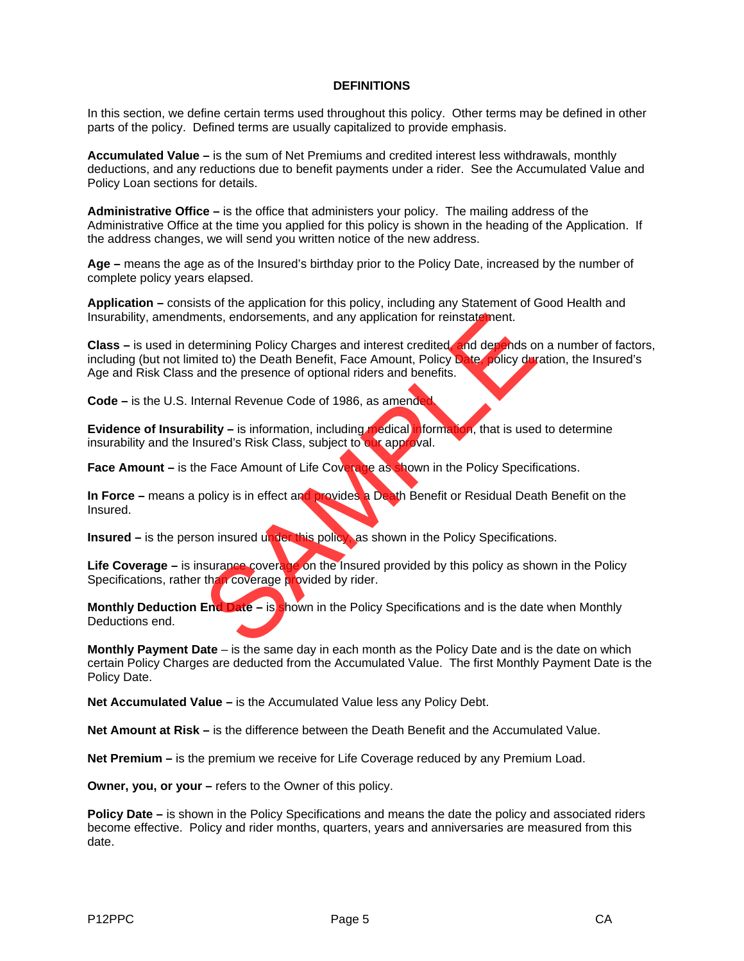#### **DEFINITIONS**

In this section, we define certain terms used throughout this policy. Other terms may be defined in other parts of the policy. Defined terms are usually capitalized to provide emphasis.

**Accumulated Value –** is the sum of Net Premiums and credited interest less withdrawals, monthly deductions, and any reductions due to benefit payments under a rider. See the Accumulated Value and Policy Loan sections for details.

**Administrative Office –** is the office that administers your policy. The mailing address of the Administrative Office at the time you applied for this policy is shown in the heading of the Application. If the address changes, we will send you written notice of the new address.

**Age –** means the age as of the Insured's birthday prior to the Policy Date, increased by the number of complete policy years elapsed.

**Application –** consists of the application for this policy, including any Statement of Good Health and Insurability, amendments, endorsements, and any application for reinstatement.

**Class –** is used in determining Policy Charges and interest credited, and depends on a number of factors, including (but not limited to) the Death Benefit, Face Amount, Policy Date, policy duration, the Insured's Age and Risk Class and the presence of optional riders and benefits. ents, endorsements, and any application for reinstatement.<br>
termining Policy Charges and interest credited and depends of<br>
ted to) the Death Benefit, Face Amount, Policy Date, policy durand<br>
the presence of optional riders

**Code –** is the U.S. Internal Revenue Code of 1986, as amended.

**Evidence of Insurability –** is information, including medical information, that is used to determine insurability and the Insured's Risk Class, subject to our approval.

Face Amount – is the Face Amount of Life Coverage as shown in the Policy Specifications.

**In Force** – means a policy is in effect and provides a Death Benefit or Residual Death Benefit on the Insured.

**Insured** – is the person insured under this policy, as shown in the Policy Specifications.

Life Coverage – is insurance coverage on the Insured provided by this policy as shown in the Policy Specifications, rather than coverage provided by rider.

**Monthly Deduction End Date** – is shown in the Policy Specifications and is the date when Monthly Deductions end.

**Monthly Payment Date** – is the same day in each month as the Policy Date and is the date on which certain Policy Charges are deducted from the Accumulated Value. The first Monthly Payment Date is the Policy Date.

**Net Accumulated Value –** is the Accumulated Value less any Policy Debt.

**Net Amount at Risk –** is the difference between the Death Benefit and the Accumulated Value.

**Net Premium –** is the premium we receive for Life Coverage reduced by any Premium Load.

**Owner, you, or your –** refers to the Owner of this policy.

**Policy Date –** is shown in the Policy Specifications and means the date the policy and associated riders become effective. Policy and rider months, quarters, years and anniversaries are measured from this date.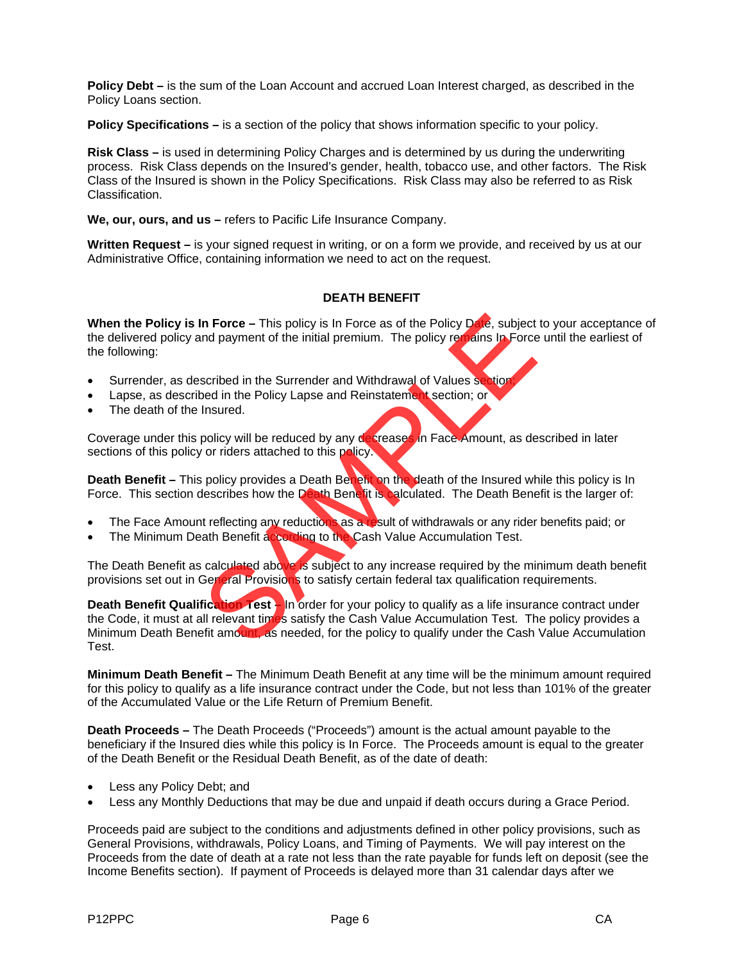**Policy Debt** – is the sum of the Loan Account and accrued Loan Interest charged, as described in the Policy Loans section.

**Policy Specifications –** is a section of the policy that shows information specific to your policy.

**Risk Class –** is used in determining Policy Charges and is determined by us during the underwriting process. Risk Class depends on the Insured's gender, health, tobacco use, and other factors. The Risk Class of the Insured is shown in the Policy Specifications. Risk Class may also be referred to as Risk Classification.

**We, our, ours, and us –** refers to Pacific Life Insurance Company.

**Written Request –** is your signed request in writing, or on a form we provide, and received by us at our Administrative Office, containing information we need to act on the request.

#### **DEATH BENEFIT**

**When the Policy is In Force –** This policy is In Force as of the Policy Date, subject to your acceptance of the delivered policy and payment of the initial premium. The policy remains In Force until the earliest of the following:

- Surrender, as described in the Surrender and Withdrawal of Values section
- Lapse, as described in the Policy Lapse and Reinstatement section; or
- The death of the Insured.

Coverage under this policy will be reduced by any decreases in Face Amount, as described in later sections of this policy or riders attached to this policy.

**Death Benefit** – This policy provides a Death Benefit on the death of the Insured while this policy is In Force. This section describes how the Death Benefit is calculated. The Death Benefit is the larger of:

- The Face Amount reflecting any reductions as a result of withdrawals or any rider benefits paid; or
- The Minimum Death Benefit according to the Cash Value Accumulation Test.

The Death Benefit as calculated above is subject to any increase required by the minimum death benefit provisions set out in General Provisions to satisfy certain federal tax qualification requirements.

**Death Benefit Qualification Test – In order for your policy to qualify as a life insurance contract under** the Code, it must at all relevant times satisfy the Cash Value Accumulation Test. The policy provides a Minimum Death Benefit amount, as needed, for the policy to qualify under the Cash Value Accumulation Test. In Force – This policy is In Force as of the Policy Dete, subject<br>
In payment of the initial premium. The policy remains In Force<br>
Scribed in the Surrender and Withdrawal of Values settion<br>
Josef Scribed in the Policy Laps

**Minimum Death Benefit –** The Minimum Death Benefit at any time will be the minimum amount required for this policy to qualify as a life insurance contract under the Code, but not less than 101% of the greater of the Accumulated Value or the Life Return of Premium Benefit.

**Death Proceeds –** The Death Proceeds ("Proceeds") amount is the actual amount payable to the beneficiary if the Insured dies while this policy is In Force. The Proceeds amount is equal to the greater of the Death Benefit or the Residual Death Benefit, as of the date of death:

- Less any Policy Debt; and
- Less any Monthly Deductions that may be due and unpaid if death occurs during a Grace Period.

Proceeds paid are subject to the conditions and adjustments defined in other policy provisions, such as General Provisions, withdrawals, Policy Loans, and Timing of Payments. We will pay interest on the Proceeds from the date of death at a rate not less than the rate payable for funds left on deposit (see the Income Benefits section). If payment of Proceeds is delayed more than 31 calendar days after we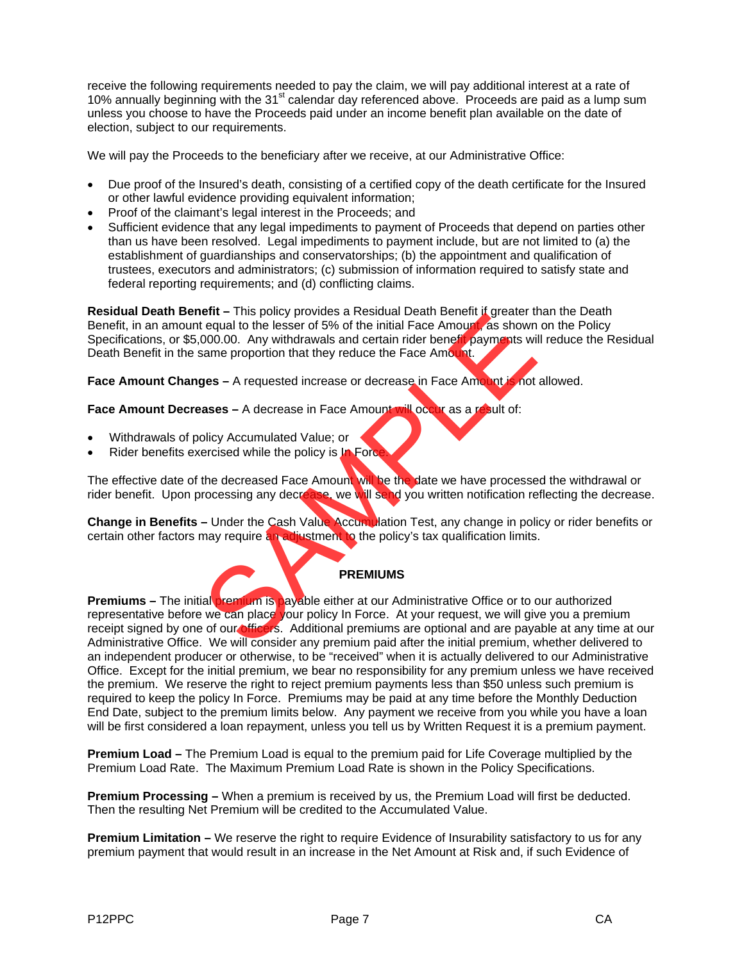receive the following requirements needed to pay the claim, we will pay additional interest at a rate of 10% annually beginning with the 31<sup>st</sup> calendar day referenced above. Proceeds are paid as a lump sum unless you choose to have the Proceeds paid under an income benefit plan available on the date of election, subject to our requirements.

We will pay the Proceeds to the beneficiary after we receive, at our Administrative Office:

- Due proof of the Insured's death, consisting of a certified copy of the death certificate for the Insured or other lawful evidence providing equivalent information;
- Proof of the claimant's legal interest in the Proceeds; and
- Sufficient evidence that any legal impediments to payment of Proceeds that depend on parties other than us have been resolved. Legal impediments to payment include, but are not limited to (a) the establishment of guardianships and conservatorships; (b) the appointment and qualification of trustees, executors and administrators; (c) submission of information required to satisfy state and federal reporting requirements; and (d) conflicting claims.

**Residual Death Benefit –** This policy provides a Residual Death Benefit if greater than the Death Benefit, in an amount equal to the lesser of 5% of the initial Face Amount, as shown on the Policy Specifications, or \$5,000.00. Any withdrawals and certain rider benefit payments will reduce the Residual Death Benefit in the same proportion that they reduce the Face Amount.

**Face Amount Changes –** A requested increase or decrease in Face Amount is not allowed.

**Face Amount Decreases –** A decrease in Face Amount will occur as a result of:

- Withdrawals of policy Accumulated Value; or
- Rider benefits exercised while the policy is In Force

The effective date of the decreased Face Amount will be the date we have processed the withdrawal or rider benefit. Upon processing any decrease, we will send you written notification reflecting the decrease.

**Change in Benefits –** Under the Cash Value Accumulation Test, any change in policy or rider benefits or certain other factors may require an adjustment to the policy's tax qualification limits.

### **PREMIUMS**

**Premiums –** The initial premium is payable either at our Administrative Office or to our authorized representative before we can place your policy In Force. At your request, we will give you a premium receipt signed by one of our **officers**. Additional premiums are optional and are payable at any time at our Administrative Office. We will consider any premium paid after the initial premium, whether delivered to an independent producer or otherwise, to be "received" when it is actually delivered to our Administrative Office. Except for the initial premium, we bear no responsibility for any premium unless we have received the premium. We reserve the right to reject premium payments less than \$50 unless such premium is required to keep the policy In Force. Premiums may be paid at any time before the Monthly Deduction End Date, subject to the premium limits below. Any payment we receive from you while you have a loan will be first considered a loan repayment, unless you tell us by Written Request it is a premium payment. end to the lesser of 5% of the initial Face Amount, as shown<br>tequal to the lesser of 5% of the initial Face Amount, as shown<br>000.00. Any withdrawals and certain rider benefit payments will<br>same proportion that they reduce

**Premium Load –** The Premium Load is equal to the premium paid for Life Coverage multiplied by the Premium Load Rate. The Maximum Premium Load Rate is shown in the Policy Specifications.

**Premium Processing –** When a premium is received by us, the Premium Load will first be deducted. Then the resulting Net Premium will be credited to the Accumulated Value.

**Premium Limitation –** We reserve the right to require Evidence of Insurability satisfactory to us for any premium payment that would result in an increase in the Net Amount at Risk and, if such Evidence of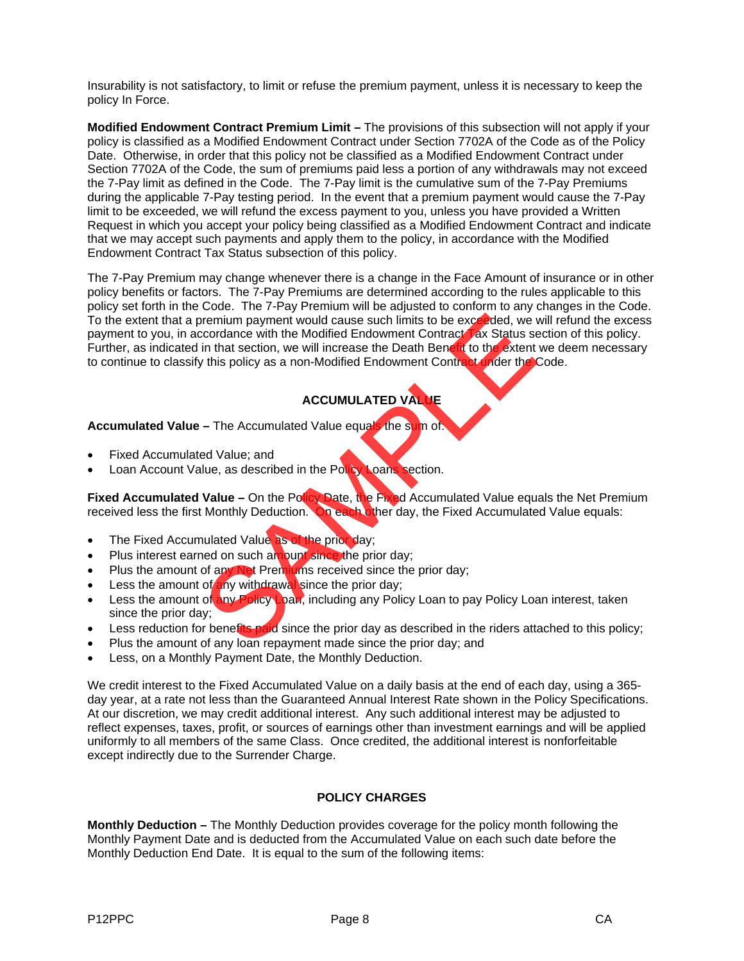Insurability is not satisfactory, to limit or refuse the premium payment, unless it is necessary to keep the policy In Force.

**Modified Endowment Contract Premium Limit –** The provisions of this subsection will not apply if your policy is classified as a Modified Endowment Contract under Section 7702A of the Code as of the Policy Date. Otherwise, in order that this policy not be classified as a Modified Endowment Contract under Section 7702A of the Code, the sum of premiums paid less a portion of any withdrawals may not exceed the 7-Pay limit as defined in the Code. The 7-Pay limit is the cumulative sum of the 7-Pay Premiums during the applicable 7-Pay testing period. In the event that a premium payment would cause the 7-Pay limit to be exceeded, we will refund the excess payment to you, unless you have provided a Written Request in which you accept your policy being classified as a Modified Endowment Contract and indicate that we may accept such payments and apply them to the policy, in accordance with the Modified Endowment Contract Tax Status subsection of this policy.

The 7-Pay Premium may change whenever there is a change in the Face Amount of insurance or in other policy benefits or factors. The 7-Pay Premiums are determined according to the rules applicable to this policy set forth in the Code. The 7-Pay Premium will be adjusted to conform to any changes in the Code. To the extent that a premium payment would cause such limits to be exceeded, we will refund the excess payment to you, in accordance with the Modified Endowment Contract Tax Status section of this policy. Further, as indicated in that section, we will increase the Death Benefit to the extent we deem necessary to continue to classify this policy as a non-Modified Endowment Contract under the Code. Frame may ment would cause such limits to be exceeded, we verticance with the Modified Endowment Contract Lax Status se<br>in that section, we will increase the Death Benefit to the extent<br>of this policy as a non-Modified End

### **ACCUMULATED VALUE**

**Accumulated Value –** The Accumulated Value equals the sum of:

- Fixed Accumulated Value; and
- Loan Account Value, as described in the Policy Loans section.

**Fixed Accumulated Value –** On the Policy Date, the Fixed Accumulated Value equals the Net Premium received less the first Monthly Deduction. On each other day, the Fixed Accumulated Value equals:

- The Fixed Accumulated Value as of the prior day;
- Plus interest earned on such amount since the prior day;
- Plus the amount of any Net Premiums received since the prior day;
- Less the amount of any withdrawal since the prior day;
- Less the amount of any Policy Loan, including any Policy Loan to pay Policy Loan interest, taken since the prior day;
- Less reduction for benefits paid since the prior day as described in the riders attached to this policy;
- Plus the amount of any loan repayment made since the prior day; and
- Less, on a Monthly Payment Date, the Monthly Deduction.

We credit interest to the Fixed Accumulated Value on a daily basis at the end of each day, using a 365 day year, at a rate not less than the Guaranteed Annual Interest Rate shown in the Policy Specifications. At our discretion, we may credit additional interest. Any such additional interest may be adjusted to reflect expenses, taxes, profit, or sources of earnings other than investment earnings and will be applied uniformly to all members of the same Class. Once credited, the additional interest is nonforfeitable except indirectly due to the Surrender Charge.

### **POLICY CHARGES**

**Monthly Deduction –** The Monthly Deduction provides coverage for the policy month following the Monthly Payment Date and is deducted from the Accumulated Value on each such date before the Monthly Deduction End Date. It is equal to the sum of the following items: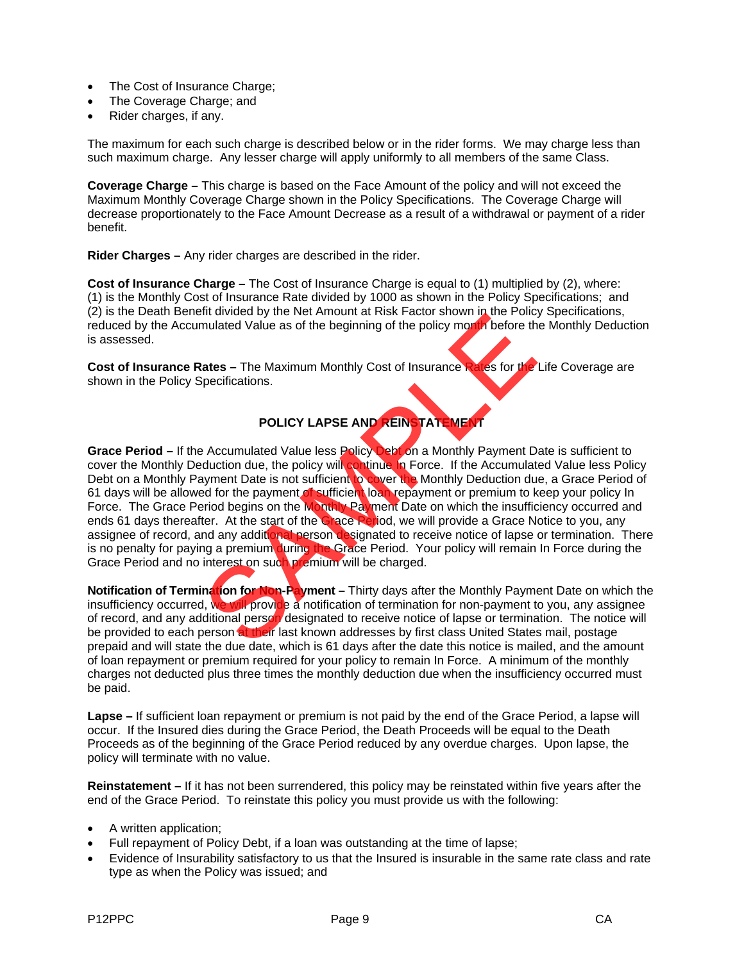- The Cost of Insurance Charge;
- The Coverage Charge; and
- Rider charges, if any.

The maximum for each such charge is described below or in the rider forms. We may charge less than such maximum charge. Any lesser charge will apply uniformly to all members of the same Class.

**Coverage Charge –** This charge is based on the Face Amount of the policy and will not exceed the Maximum Monthly Coverage Charge shown in the Policy Specifications. The Coverage Charge will decrease proportionately to the Face Amount Decrease as a result of a withdrawal or payment of a rider benefit.

**Rider Charges –** Any rider charges are described in the rider.

**Cost of Insurance Charge –** The Cost of Insurance Charge is equal to (1) multiplied by (2), where: (1) is the Monthly Cost of Insurance Rate divided by 1000 as shown in the Policy Specifications; and (2) is the Death Benefit divided by the Net Amount at Risk Factor shown in the Policy Specifications, reduced by the Accumulated Value as of the beginning of the policy month before the Monthly Deduction is assessed.

**Cost of Insurance Rates –** The Maximum Monthly Cost of Insurance Rates for the Life Coverage are shown in the Policy Specifications.

### **POLICY LAPSE AND REINSTATEME**

Grace Period – If the Accumulated Value less Policy Debt on a Monthly Payment Date is sufficient to cover the Monthly Deduction due, the policy will continue In Force. If the Accumulated Value less Policy Debt on a Monthly Payment Date is not sufficient to cover the Monthly Deduction due, a Grace Period of 61 days will be allowed for the payment of sufficient loan repayment or premium to keep your policy In Force. The Grace Period begins on the Monthly Payment Date on which the insufficiency occurred and ends 61 days thereafter. At the start of the Grace Period, we will provide a Grace Notice to you, any assignee of record, and any additional person designated to receive notice of lapse or termination. There is no penalty for paying a premium during the Grace Period. Your policy will remain In Force during the Grace Period and no interest on such premium will be charged. In divided by the Net Ambarra at Kisk Factor Shown in the Policy<br>mulated Value as of the beginning of the policy more the before the<br>pecifications.<br>**POLICY LAPSE AND REINSTATEMENT**<br>Accumulated Value less Policy web on a Mo

**Notification of Termination for Non-Payment –** Thirty days after the Monthly Payment Date on which the insufficiency occurred, we will provide a notification of termination for non-payment to you, any assignee of record, and any additional person designated to receive notice of lapse or termination. The notice will be provided to each person at their last known addresses by first class United States mail, postage prepaid and will state the due date, which is 61 days after the date this notice is mailed, and the amount of loan repayment or premium required for your policy to remain In Force. A minimum of the monthly charges not deducted plus three times the monthly deduction due when the insufficiency occurred must be paid.

**Lapse –** If sufficient loan repayment or premium is not paid by the end of the Grace Period, a lapse will occur. If the Insured dies during the Grace Period, the Death Proceeds will be equal to the Death Proceeds as of the beginning of the Grace Period reduced by any overdue charges. Upon lapse, the policy will terminate with no value.

**Reinstatement –** If it has not been surrendered, this policy may be reinstated within five years after the end of the Grace Period. To reinstate this policy you must provide us with the following:

- A written application;
- Full repayment of Policy Debt, if a loan was outstanding at the time of lapse;
- Evidence of Insurability satisfactory to us that the Insured is insurable in the same rate class and rate type as when the Policy was issued; and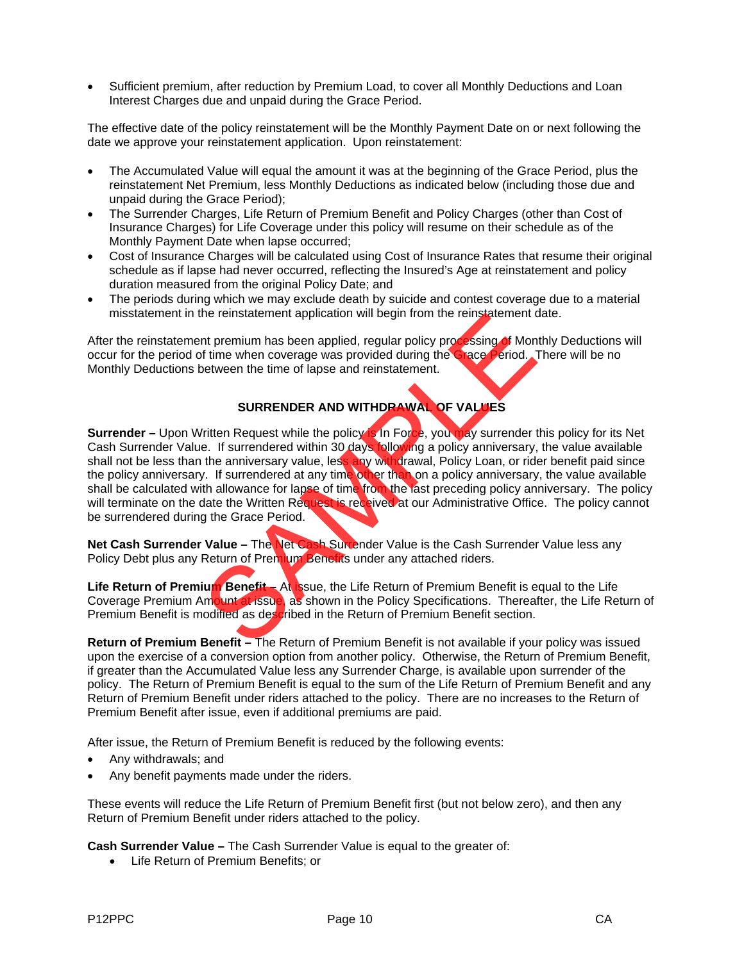Sufficient premium, after reduction by Premium Load, to cover all Monthly Deductions and Loan Interest Charges due and unpaid during the Grace Period.

The effective date of the policy reinstatement will be the Monthly Payment Date on or next following the date we approve your reinstatement application. Upon reinstatement:

- The Accumulated Value will equal the amount it was at the beginning of the Grace Period, plus the reinstatement Net Premium, less Monthly Deductions as indicated below (including those due and unpaid during the Grace Period);
- The Surrender Charges, Life Return of Premium Benefit and Policy Charges (other than Cost of Insurance Charges) for Life Coverage under this policy will resume on their schedule as of the Monthly Payment Date when lapse occurred;
- Cost of Insurance Charges will be calculated using Cost of Insurance Rates that resume their original schedule as if lapse had never occurred, reflecting the Insured's Age at reinstatement and policy duration measured from the original Policy Date; and
- The periods during which we may exclude death by suicide and contest coverage due to a material misstatement in the reinstatement application will begin from the reinstatement date.

After the reinstatement premium has been applied, regular policy processing of Monthly Deductions will occur for the period of time when coverage was provided during the Grace Period. There will be no Monthly Deductions between the time of lapse and reinstatement.

### **SURRENDER AND WITHDRAWAL OF VALUES**

**Surrender** – Upon Written Request while the policy is In Force, you may surrender this policy for its Net Cash Surrender Value. If surrendered within 30 days following a policy anniversary, the value available shall not be less than the anniversary value, less any withdrawal, Policy Loan, or rider benefit paid since the policy anniversary. If surrendered at any time other than on a policy anniversary, the value available shall be calculated with allowance for lapse of time from the last preceding policy anniversary. The policy will terminate on the date the Written Request is received at our Administrative Office. The policy cannot be surrendered during the Grace Period. The remistatement application will begin from the reinstatement of the remission of the when coverage was provided during the Crace Period.<br>
SURRENDER AND WITHDRAWAL OF VALUES<br>
Tritten Request while the policy of the Torde

**Net Cash Surrender Value – The Net Cash Surrender Value is the Cash Surrender Value less any** Policy Debt plus any Return of Premium Benefits under any attached riders.

Life Return of Premium Benefit – At issue, the Life Return of Premium Benefit is equal to the Life Coverage Premium Amount at issue, as shown in the Policy Specifications. Thereafter, the Life Return of Premium Benefit is modified as described in the Return of Premium Benefit section.

**Return of Premium Benefit –** The Return of Premium Benefit is not available if your policy was issued upon the exercise of a conversion option from another policy. Otherwise, the Return of Premium Benefit, if greater than the Accumulated Value less any Surrender Charge, is available upon surrender of the policy. The Return of Premium Benefit is equal to the sum of the Life Return of Premium Benefit and any Return of Premium Benefit under riders attached to the policy. There are no increases to the Return of Premium Benefit after issue, even if additional premiums are paid.

After issue, the Return of Premium Benefit is reduced by the following events:

- Any withdrawals; and
- Any benefit payments made under the riders.

These events will reduce the Life Return of Premium Benefit first (but not below zero), and then any Return of Premium Benefit under riders attached to the policy.

**Cash Surrender Value –** The Cash Surrender Value is equal to the greater of:

Life Return of Premium Benefits; or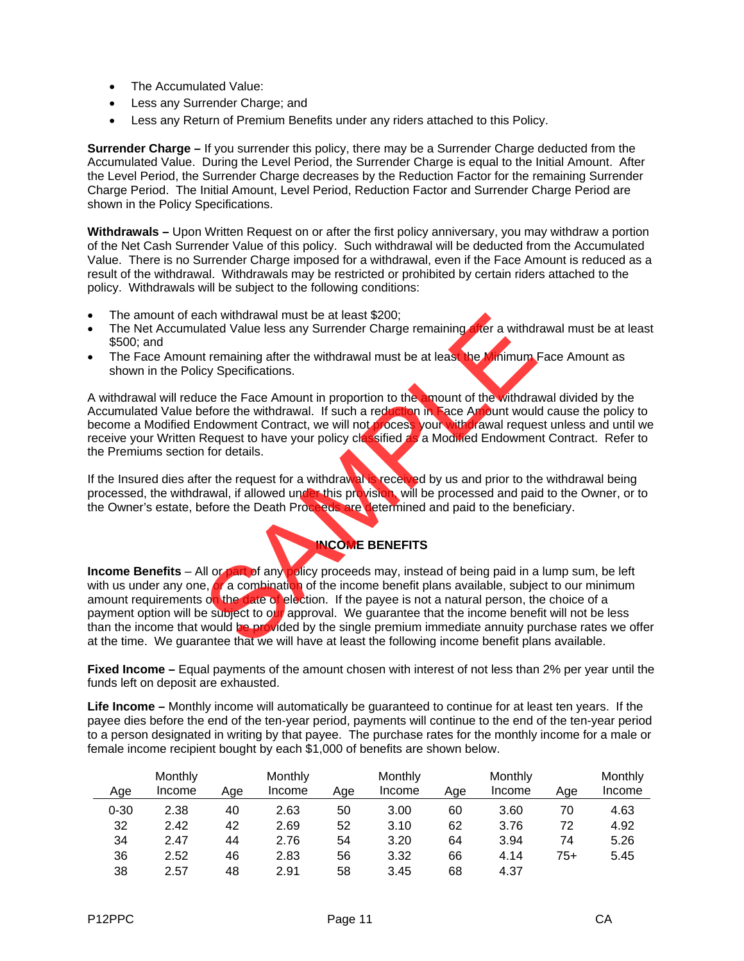- The Accumulated Value:
- Less any Surrender Charge; and
- Less any Return of Premium Benefits under any riders attached to this Policy.

**Surrender Charge –** If you surrender this policy, there may be a Surrender Charge deducted from the Accumulated Value. During the Level Period, the Surrender Charge is equal to the Initial Amount. After the Level Period, the Surrender Charge decreases by the Reduction Factor for the remaining Surrender Charge Period. The Initial Amount, Level Period, Reduction Factor and Surrender Charge Period are shown in the Policy Specifications.

**Withdrawals –** Upon Written Request on or after the first policy anniversary, you may withdraw a portion of the Net Cash Surrender Value of this policy. Such withdrawal will be deducted from the Accumulated Value. There is no Surrender Charge imposed for a withdrawal, even if the Face Amount is reduced as a result of the withdrawal. Withdrawals may be restricted or prohibited by certain riders attached to the policy. Withdrawals will be subject to the following conditions:

- The amount of each withdrawal must be at least \$200;
- The Net Accumulated Value less any Surrender Charge remaining after a withdrawal must be at least \$500; and
- The Face Amount remaining after the withdrawal must be at least the Minimum Face Amount as shown in the Policy Specifications.

A withdrawal will reduce the Face Amount in proportion to the amount of the withdrawal divided by the Accumulated Value before the withdrawal. If such a reduction in Face Amount would cause the policy to become a Modified Endowment Contract, we will not process your withdrawal request unless and until we receive your Written Request to have your policy classified as a Modified Endowment Contract. Refer to the Premiums section for details.

If the Insured dies after the request for a withdrawal is received by us and prior to the withdrawal being processed, the withdrawal, if allowed under this provision, will be processed and paid to the Owner, or to the Owner's estate, before the Death Proceeds are determined and paid to the beneficiary.

### **INCOME BENEFITS**

**Income Benefits** – All or part of any policy proceeds may, instead of being paid in a lump sum, be left with us under any one, or a combination of the income benefit plans available, subject to our minimum amount requirements on the date of election. If the payee is not a natural person, the choice of a payment option will be subject to our approval. We guarantee that the income benefit will not be less than the income that would be provided by the single premium immediate annuity purchase rates we offer at the time. We guarantee that we will have at least the following income benefit plans available. ach withdrawal must be at least \$200;<br>lated Value less any Surrender Charge remaining after a withdr<br>tremaining after the withdrawal must be at least the Unimum<br>cy Specifications.<br>Lece the Face Amount in proportion to the

**Fixed Income –** Equal payments of the amount chosen with interest of not less than 2% per year until the funds left on deposit are exhausted.

**Life Income –** Monthly income will automatically be guaranteed to continue for at least ten years. If the payee dies before the end of the ten-year period, payments will continue to the end of the ten-year period to a person designated in writing by that payee. The purchase rates for the monthly income for a male or female income recipient bought by each \$1,000 of benefits are shown below.

| Age      | Monthly<br>Income | Age | Monthly<br>Income | Age | Monthly<br>Income | Age | Monthly<br>Income | Age | Monthly<br>Income |
|----------|-------------------|-----|-------------------|-----|-------------------|-----|-------------------|-----|-------------------|
| $0 - 30$ | 2.38              | 40  | 2.63              | 50  | 3.00              | 60  | 3.60              | 70  | 4.63              |
| 32       | 2.42              | 42  | 2.69              | 52  | 3.10              | 62  | 3.76              | 72  | 4.92              |
| 34       | 2.47              | 44  | 2.76              | 54  | 3.20              | 64  | 3.94              | 74  | 5.26              |
| 36       | 2.52              | 46  | 2.83              | 56  | 3.32              | 66  | 4.14              | 75+ | 5.45              |
| 38       | 2.57              | 48  | 2.91              | 58  | 3.45              | 68  | 4.37              |     |                   |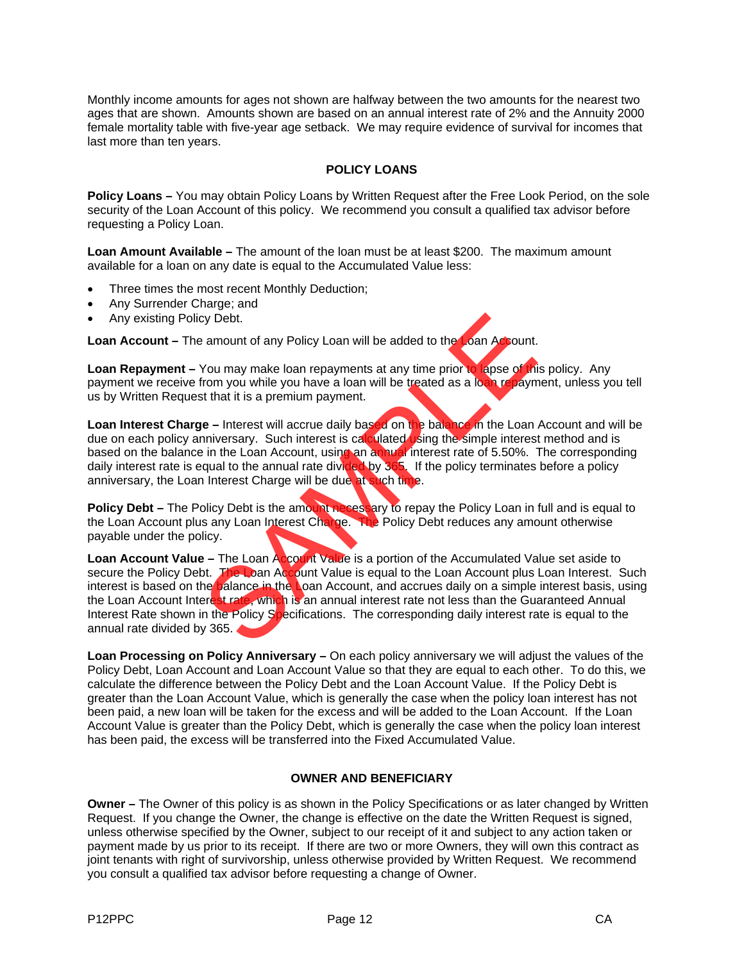Monthly income amounts for ages not shown are halfway between the two amounts for the nearest two ages that are shown. Amounts shown are based on an annual interest rate of 2% and the Annuity 2000 female mortality table with five-year age setback. We may require evidence of survival for incomes that last more than ten years.

#### **POLICY LOANS**

**Policy Loans** – You may obtain Policy Loans by Written Request after the Free Look Period, on the sole security of the Loan Account of this policy. We recommend you consult a qualified tax advisor before requesting a Policy Loan.

**Loan Amount Available –** The amount of the loan must be at least \$200. The maximum amount available for a loan on any date is equal to the Accumulated Value less:

- Three times the most recent Monthly Deduction;
- Any Surrender Charge; and
- Any existing Policy Debt.

Loan Account – The amount of any Policy Loan will be added to the Loan Account.

**Loan Repayment –** You may make loan repayments at any time prior to lapse of this policy. Any payment we receive from you while you have a loan will be treated as a loan repayment, unless you tell us by Written Request that it is a premium payment.

**Loan Interest Charge –** Interest will accrue daily based on the balance in the Loan Account and will be due on each policy anniversary. Such interest is calculated using the simple interest method and is based on the balance in the Loan Account, using an annual interest rate of 5.50%. The corresponding daily interest rate is equal to the annual rate divided by 365. If the policy terminates before a policy anniversary, the Loan Interest Charge will be due at such time.

**Policy Debt –** The Policy Debt is the amount necessary to repay the Policy Loan in full and is equal to the Loan Account plus any Loan Interest Charge. The Policy Debt reduces any amount otherwise payable under the policy.

**Loan Account Value –** The Loan Account Value is a portion of the Accumulated Value set aside to secure the Policy Debt. The Loan Account Value is equal to the Loan Account plus Loan Interest. Such interest is based on the balance in the Loan Account, and accrues daily on a simple interest basis, using the Loan Account Interest rate, which is an annual interest rate not less than the Guaranteed Annual Interest Rate shown in the Policy Specifications. The corresponding daily interest rate is equal to the annual rate divided by 365. by Debt.<br>
Samount of any Policy Loan will be added to the Loan Account.<br>
You may make loan repayments at any time prior to lapse of this<br>
from you while you have a loan will be treated as a loan regayment<br>
that it is a pre

**Loan Processing on Policy Anniversary –** On each policy anniversary we will adjust the values of the Policy Debt, Loan Account and Loan Account Value so that they are equal to each other. To do this, we calculate the difference between the Policy Debt and the Loan Account Value. If the Policy Debt is greater than the Loan Account Value, which is generally the case when the policy loan interest has not been paid, a new loan will be taken for the excess and will be added to the Loan Account. If the Loan Account Value is greater than the Policy Debt, which is generally the case when the policy loan interest has been paid, the excess will be transferred into the Fixed Accumulated Value.

### **OWNER AND BENEFICIARY**

**Owner –** The Owner of this policy is as shown in the Policy Specifications or as later changed by Written Request. If you change the Owner, the change is effective on the date the Written Request is signed, unless otherwise specified by the Owner, subject to our receipt of it and subject to any action taken or payment made by us prior to its receipt. If there are two or more Owners, they will own this contract as joint tenants with right of survivorship, unless otherwise provided by Written Request. We recommend you consult a qualified tax advisor before requesting a change of Owner.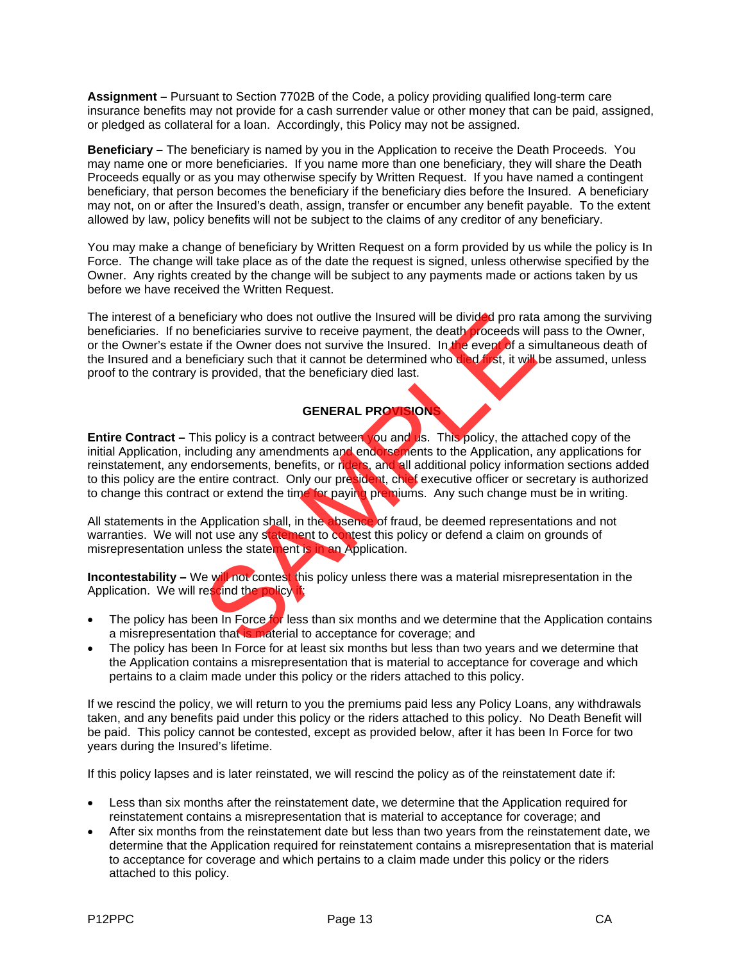**Assignment –** Pursuant to Section 7702B of the Code, a policy providing qualified long-term care insurance benefits may not provide for a cash surrender value or other money that can be paid, assigned, or pledged as collateral for a loan. Accordingly, this Policy may not be assigned.

**Beneficiary –** The beneficiary is named by you in the Application to receive the Death Proceeds. You may name one or more beneficiaries. If you name more than one beneficiary, they will share the Death Proceeds equally or as you may otherwise specify by Written Request. If you have named a contingent beneficiary, that person becomes the beneficiary if the beneficiary dies before the Insured. A beneficiary may not, on or after the Insured's death, assign, transfer or encumber any benefit payable. To the extent allowed by law, policy benefits will not be subject to the claims of any creditor of any beneficiary.

You may make a change of beneficiary by Written Request on a form provided by us while the policy is In Force. The change will take place as of the date the request is signed, unless otherwise specified by the Owner. Any rights created by the change will be subject to any payments made or actions taken by us before we have received the Written Request.

The interest of a beneficiary who does not outlive the Insured will be divided pro rata among the surviving beneficiaries. If no beneficiaries survive to receive payment, the death proceeds will pass to the Owner, or the Owner's estate if the Owner does not survive the Insured. In the event of a simultaneous death of the Insured and a beneficiary such that it cannot be determined who died first, it will be assumed, unless proof to the contrary is provided, that the beneficiary died last.

### **GENERAL PROVISIONS**

**Entire Contract** – This policy is a contract between you and us. This policy, the attached copy of the initial Application, including any amendments and endorsements to the Application, any applications for reinstatement, any endorsements, benefits, or riders, and all additional policy information sections added to this policy are the entire contract. Only our president, chief executive officer or secretary is authorized to change this contract or extend the time for paying premiums. Any such change must be in writing. eficiary who does not outlive the Insured will be divided pro rate<br>enerficiaries survive to receive payment, the death proceeds will<br>if the Owner does not survive the Insured. In the event of a sime<br>energiency such that it

All statements in the Application shall, in the absence of fraud, be deemed representations and not warranties. We will not use any statement to contest this policy or defend a claim on grounds of misrepresentation unless the statement is in an Application.

**Incontestability** – We will not contest this policy unless there was a material misrepresentation in the Application. We will rescind the policy if:

- The policy has been In Force for less than six months and we determine that the Application contains a misrepresentation that is material to acceptance for coverage; and
- The policy has been In Force for at least six months but less than two years and we determine that the Application contains a misrepresentation that is material to acceptance for coverage and which pertains to a claim made under this policy or the riders attached to this policy.

If we rescind the policy, we will return to you the premiums paid less any Policy Loans, any withdrawals taken, and any benefits paid under this policy or the riders attached to this policy. No Death Benefit will be paid. This policy cannot be contested, except as provided below, after it has been In Force for two years during the Insured's lifetime.

If this policy lapses and is later reinstated, we will rescind the policy as of the reinstatement date if:

- Less than six months after the reinstatement date, we determine that the Application required for reinstatement contains a misrepresentation that is material to acceptance for coverage; and
- After six months from the reinstatement date but less than two years from the reinstatement date, we determine that the Application required for reinstatement contains a misrepresentation that is material to acceptance for coverage and which pertains to a claim made under this policy or the riders attached to this policy.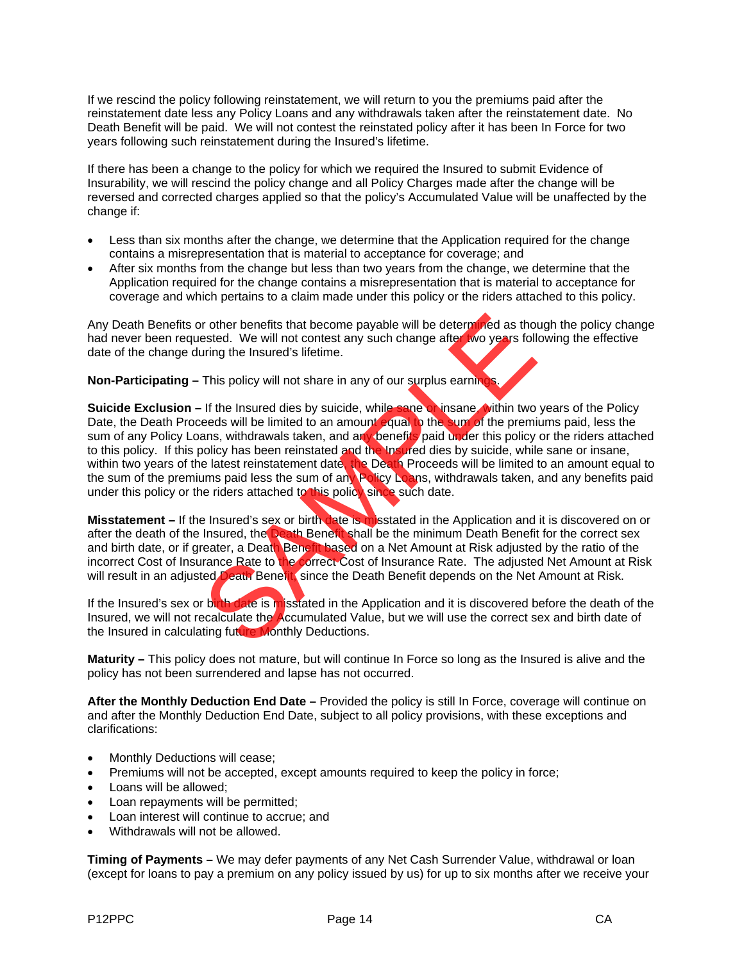If we rescind the policy following reinstatement, we will return to you the premiums paid after the reinstatement date less any Policy Loans and any withdrawals taken after the reinstatement date. No Death Benefit will be paid. We will not contest the reinstated policy after it has been In Force for two years following such reinstatement during the Insured's lifetime.

If there has been a change to the policy for which we required the Insured to submit Evidence of Insurability, we will rescind the policy change and all Policy Charges made after the change will be reversed and corrected charges applied so that the policy's Accumulated Value will be unaffected by the change if:

- Less than six months after the change, we determine that the Application required for the change contains a misrepresentation that is material to acceptance for coverage; and
- After six months from the change but less than two years from the change, we determine that the Application required for the change contains a misrepresentation that is material to acceptance for coverage and which pertains to a claim made under this policy or the riders attached to this policy.

Any Death Benefits or other benefits that become payable will be determined as though the policy change had never been requested. We will not contest any such change after two years following the effective date of the change during the Insured's lifetime.

**Non-Participating –** This policy will not share in any of our surplus earning

**Suicide Exclusion –** If the Insured dies by suicide, while sane of insane within two years of the Policy Date, the Death Proceeds will be limited to an amount equal to the sum of the premiums paid, less the sum of any Policy Loans, withdrawals taken, and any penefits paid under this policy or the riders attached to this policy. If this policy has been reinstated and the Insured dies by suicide, while sane or insane, within two years of the latest reinstatement date, the Death Proceeds will be limited to an amount equal to the sum of the premiums paid less the sum of any Policy Loans, withdrawals taken, and any benefits paid under this policy or the riders attached to this policy since such date. In the benefits that become payable will be determined as thousted. We will not contest any such change after wwo years foll uring the Insured's lifetime.<br>This policy will not share in any of our surplus earnings.<br>This pol

**Misstatement –** If the Insured's sex or birth date is misstated in the Application and it is discovered on or after the death of the Insured, the Death Benefit shall be the minimum Death Benefit for the correct sex and birth date, or if greater, a Death Benefit based on a Net Amount at Risk adjusted by the ratio of the incorrect Cost of Insurance Rate to the correct Cost of Insurance Rate. The adjusted Net Amount at Risk will result in an adjusted Death Benefit, since the Death Benefit depends on the Net Amount at Risk.

If the Insured's sex or birth date is misstated in the Application and it is discovered before the death of the Insured, we will not recalculate the Accumulated Value, but we will use the correct sex and birth date of the Insured in calculating future Monthly Deductions.

**Maturity –** This policy does not mature, but will continue In Force so long as the Insured is alive and the policy has not been surrendered and lapse has not occurred.

**After the Monthly Deduction End Date –** Provided the policy is still In Force, coverage will continue on and after the Monthly Deduction End Date, subject to all policy provisions, with these exceptions and clarifications:

- Monthly Deductions will cease;
- Premiums will not be accepted, except amounts required to keep the policy in force;
- Loans will be allowed;
- Loan repayments will be permitted;
- Loan interest will continue to accrue; and
- Withdrawals will not be allowed.

**Timing of Payments –** We may defer payments of any Net Cash Surrender Value, withdrawal or loan (except for loans to pay a premium on any policy issued by us) for up to six months after we receive your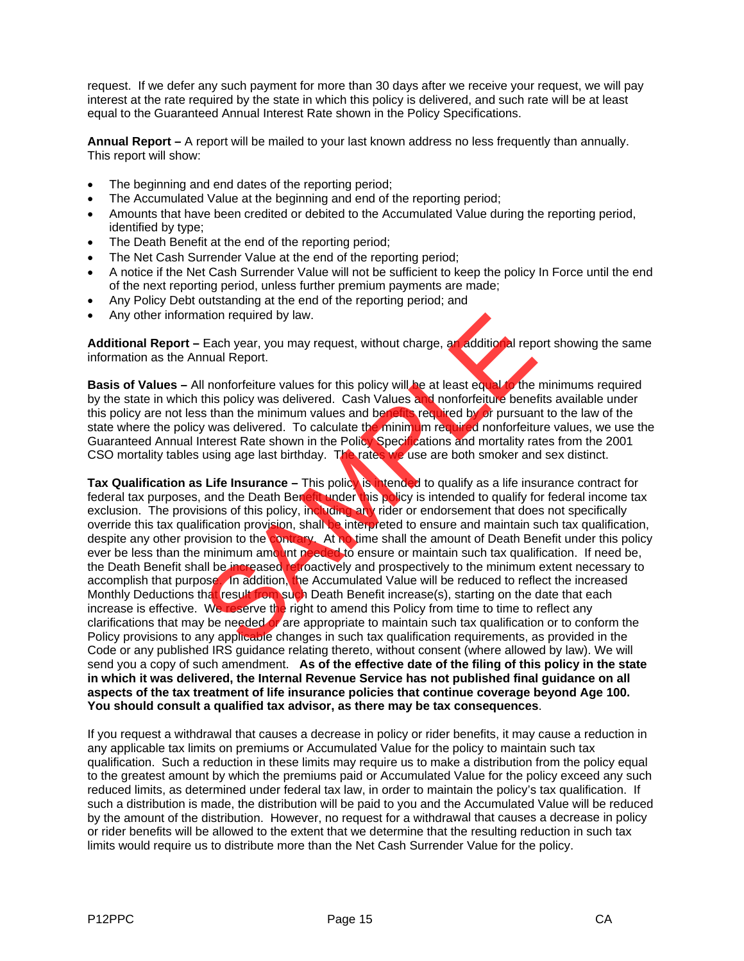request. If we defer any such payment for more than 30 days after we receive your request, we will pay interest at the rate required by the state in which this policy is delivered, and such rate will be at least equal to the Guaranteed Annual Interest Rate shown in the Policy Specifications.

**Annual Report –** A report will be mailed to your last known address no less frequently than annually. This report will show:

- The beginning and end dates of the reporting period;
- The Accumulated Value at the beginning and end of the reporting period;
- Amounts that have been credited or debited to the Accumulated Value during the reporting period, identified by type;
- The Death Benefit at the end of the reporting period;
- The Net Cash Surrender Value at the end of the reporting period;
- A notice if the Net Cash Surrender Value will not be sufficient to keep the policy In Force until the end of the next reporting period, unless further premium payments are made;
- Any Policy Debt outstanding at the end of the reporting period; and
- Any other information required by law.

**Additional Report –** Each year, you may request, without charge, an additional report showing the same information as the Annual Report.

**Basis of Values –** All nonforfeiture values for this policy will be at least equal to the minimums required by the state in which this policy was delivered. Cash Values and nonforfeiture benefits available under this policy are not less than the minimum values and benefits required by or pursuant to the law of the state where the policy was delivered. To calculate the minimum required nonforfeiture values, we use the Guaranteed Annual Interest Rate shown in the Policy Specifications and mortality rates from the 2001 CSO mortality tables using age last birthday. The rates we use are both smoker and sex distinct.

**Tax Qualification as Life Insurance – This policy is thended to qualify as a life insurance contract for** federal tax purposes, and the Death Benefit under this policy is intended to qualify for federal income tax exclusion. The provisions of this policy, including any rider or endorsement that does not specifically override this tax qualification provision, shall be interpreted to ensure and maintain such tax qualification, despite any other provision to the contrary. At no time shall the amount of Death Benefit under this policy ever be less than the minimum amount needed to ensure or maintain such tax qualification. If need be, the Death Benefit shall be increased retroactively and prospectively to the minimum extent necessary to accomplish that purpose. In addition, the Accumulated Value will be reduced to reflect the increased Monthly Deductions that result from such Death Benefit increase(s), starting on the date that each increase is effective. We reserve the right to amend this Policy from time to time to reflect any clarifications that may be needed or are appropriate to maintain such tax qualification or to conform the Policy provisions to any applicable changes in such tax qualification requirements, as provided in the Code or any published IRS guidance relating thereto, without consent (where allowed by law). We will send you a copy of such amendment. **As of the effective date of the filing of this policy in the state in which it was delivered, the Internal Revenue Service has not published final guidance on all aspects of the tax treatment of life insurance policies that continue coverage beyond Age 100. You should consult a qualified tax advisor, as there may be tax consequences**. ation required by law.<br>
Each year, you may request, without charge, and additional reported and Report.<br>
Il nonforfeiture values for this policy will be at least equal of the this policy was delivered. Cash Values and hono

If you request a withdrawal that causes a decrease in policy or rider benefits, it may cause a reduction in any applicable tax limits on premiums or Accumulated Value for the policy to maintain such tax qualification. Such a reduction in these limits may require us to make a distribution from the policy equal to the greatest amount by which the premiums paid or Accumulated Value for the policy exceed any such reduced limits, as determined under federal tax law, in order to maintain the policy's tax qualification. If such a distribution is made, the distribution will be paid to you and the Accumulated Value will be reduced by the amount of the distribution. However, no request for a withdrawal that causes a decrease in policy or rider benefits will be allowed to the extent that we determine that the resulting reduction in such tax limits would require us to distribute more than the Net Cash Surrender Value for the policy.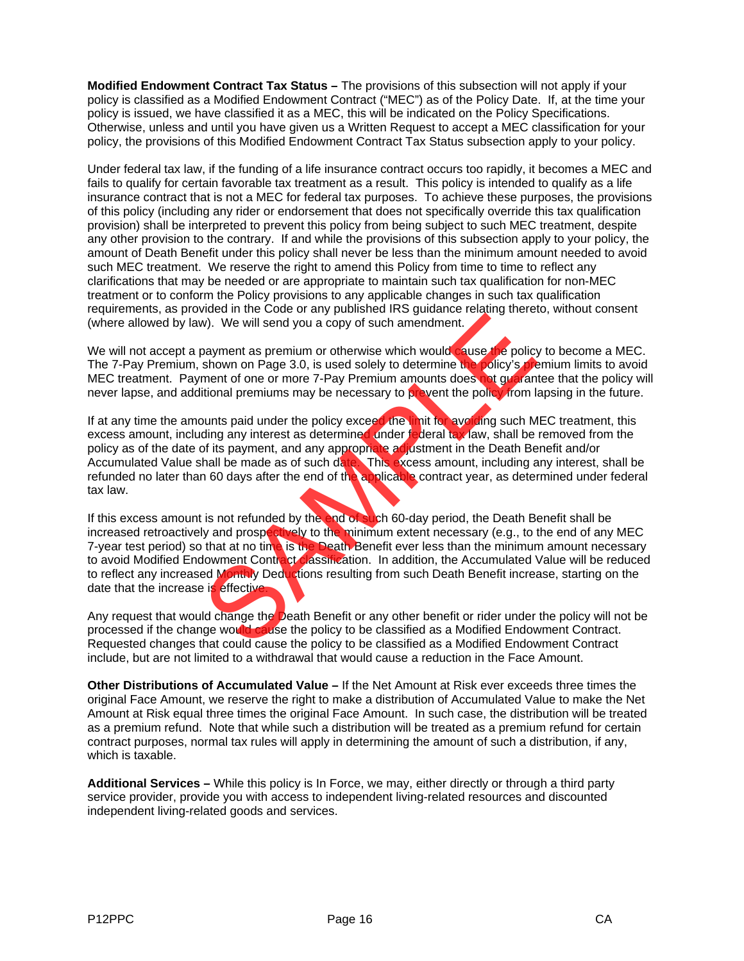**Modified Endowment Contract Tax Status –** The provisions of this subsection will not apply if your policy is classified as a Modified Endowment Contract ("MEC") as of the Policy Date. If, at the time your policy is issued, we have classified it as a MEC, this will be indicated on the Policy Specifications. Otherwise, unless and until you have given us a Written Request to accept a MEC classification for your policy, the provisions of this Modified Endowment Contract Tax Status subsection apply to your policy.

Under federal tax law, if the funding of a life insurance contract occurs too rapidly, it becomes a MEC and fails to qualify for certain favorable tax treatment as a result. This policy is intended to qualify as a life insurance contract that is not a MEC for federal tax purposes. To achieve these purposes, the provisions of this policy (including any rider or endorsement that does not specifically override this tax qualification provision) shall be interpreted to prevent this policy from being subject to such MEC treatment, despite any other provision to the contrary. If and while the provisions of this subsection apply to your policy, the amount of Death Benefit under this policy shall never be less than the minimum amount needed to avoid such MEC treatment. We reserve the right to amend this Policy from time to time to reflect any clarifications that may be needed or are appropriate to maintain such tax qualification for non-MEC treatment or to conform the Policy provisions to any applicable changes in such tax qualification requirements, as provided in the Code or any published IRS guidance relating thereto, without consent (where allowed by law). We will send you a copy of such amendment.

We will not accept a payment as premium or otherwise which would cause the policy to become a MEC. The 7-Pay Premium, shown on Page 3.0, is used solely to determine the policy's premium limits to avoid MEC treatment. Payment of one or more 7-Pay Premium amounts does not guarantee that the policy will never lapse, and additional premiums may be necessary to prevent the policy from lapsing in the future.

If at any time the amounts paid under the policy exceed the limit for avoiding such MEC treatment, this excess amount, including any interest as determined under federal tax law, shall be removed from the policy as of the date of its payment, and any appropriate adjustment in the Death Benefit and/or Accumulated Value shall be made as of such date. This excess amount, including any interest, shall be refunded no later than 60 days after the end of the applicable contract year, as determined under federal tax law.

If this excess amount is not refunded by the end of such 60-day period, the Death Benefit shall be increased retroactively and prospectively to the minimum extent necessary (e.g., to the end of any MEC 7-year test period) so that at no time is the Death Benefit ever less than the minimum amount necessary to avoid Modified Endowment Contract classification. In addition, the Accumulated Value will be reduced to reflect any increased Monthly Deductions resulting from such Death Benefit increase, starting on the date that the increase is effective W). We will send you a copy of such amendment.<br>
W). We will send you a copy of such amendment.<br>
Shown on Page 3.0, is used solely to determine the policy's pick<br>
ment of one or more 7-Pay Premium amounts does in the policy

Any request that would change the Death Benefit or any other benefit or rider under the policy will not be processed if the change would cause the policy to be classified as a Modified Endowment Contract. Requested changes that could cause the policy to be classified as a Modified Endowment Contract include, but are not limited to a withdrawal that would cause a reduction in the Face Amount.

**Other Distributions of Accumulated Value –** If the Net Amount at Risk ever exceeds three times the original Face Amount, we reserve the right to make a distribution of Accumulated Value to make the Net Amount at Risk equal three times the original Face Amount. In such case, the distribution will be treated as a premium refund. Note that while such a distribution will be treated as a premium refund for certain contract purposes, normal tax rules will apply in determining the amount of such a distribution, if any, which is taxable.

**Additional Services –** While this policy is In Force, we may, either directly or through a third party service provider, provide you with access to independent living-related resources and discounted independent living-related goods and services.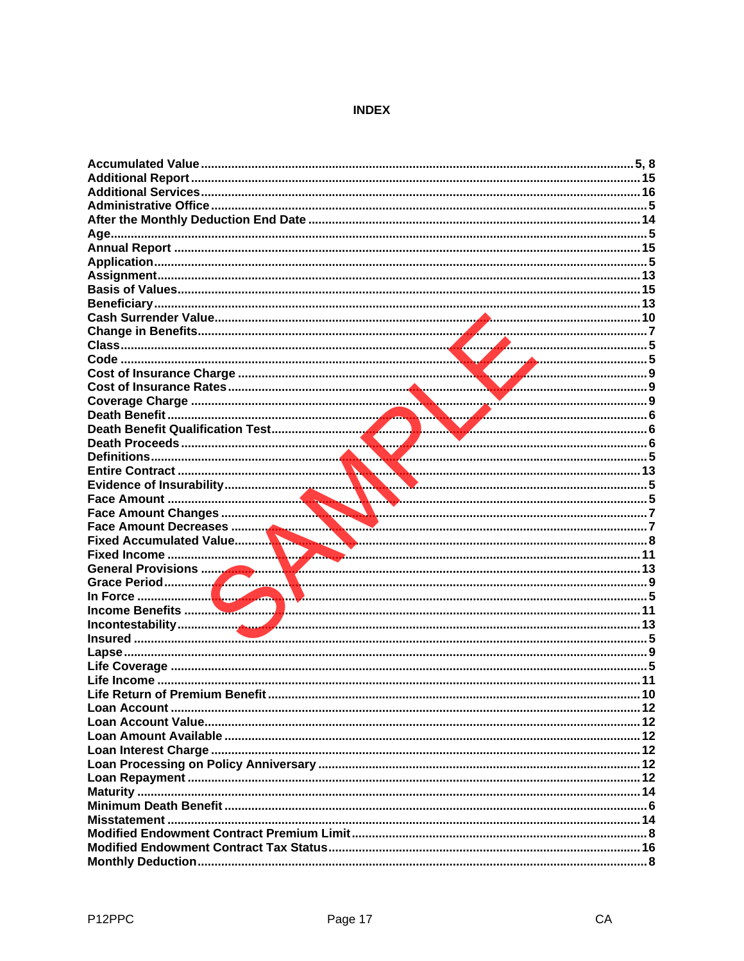### **INDEX**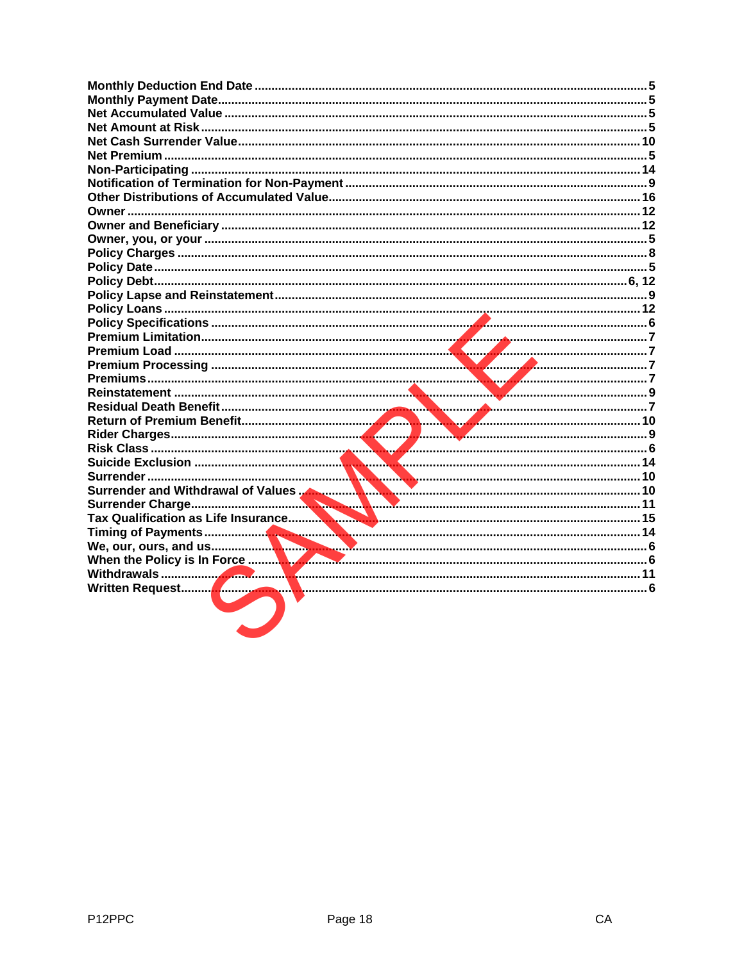**Contract Contract Contract Contract**